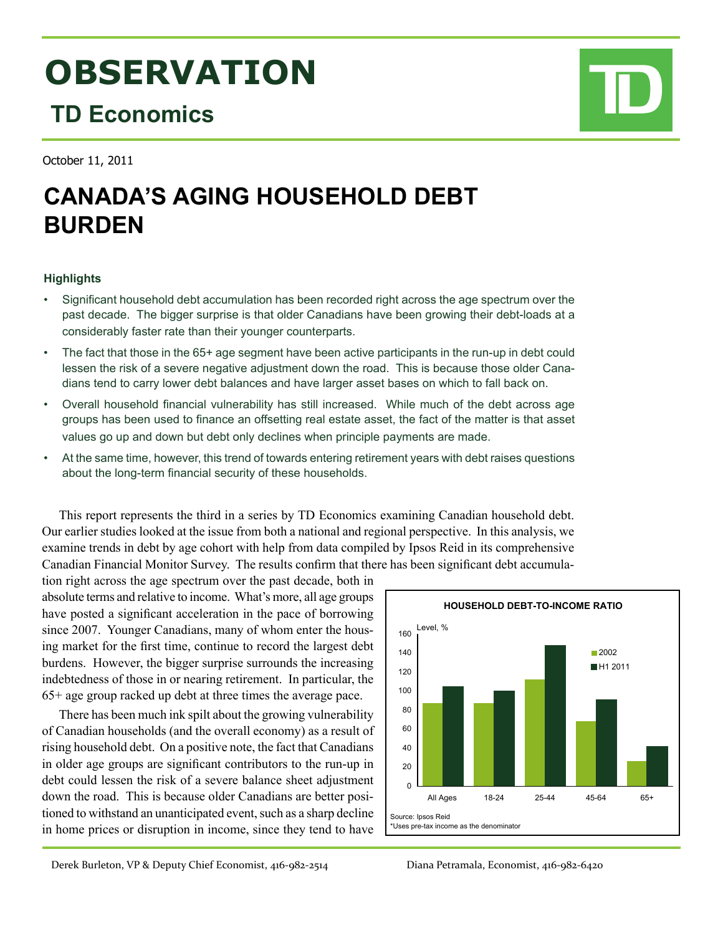# **OBSERVATION**

# **TD Economics**

October 11, 2011

# **CANADA'S AGING HOUSEHOLD DEBT BURDEN**

## **Highlights**

- Significant household debt accumulation has been recorded right across the age spectrum over the past decade. The bigger surprise is that older Canadians have been growing their debt-loads at a considerably faster rate than their younger counterparts.
- The fact that those in the 65+ age segment have been active participants in the run-up in debt could lessen the risk of a severe negative adjustment down the road. This is because those older Canadians tend to carry lower debt balances and have larger asset bases on which to fall back on.
- Overall household financial vulnerability has still increased. While much of the debt across age groups has been used to finance an offsetting real estate asset, the fact of the matter is that asset values go up and down but debt only declines when principle payments are made.
- At the same time, however, this trend of towards entering retirement years with debt raises questions about the long-term financial security of these households.

This report represents the third in a series by TD Economics examining Canadian household debt. Our earlier studies looked at the issue from both a national and regional perspective. In this analysis, we examine trends in debt by age cohort with help from data compiled by Ipsos Reid in its comprehensive Canadian Financial Monitor Survey. The results confirm that there has been significant debt accumula-

tion right across the age spectrum over the past decade, both in absolute terms and relative to income. What's more, all age groups have posted a significant acceleration in the pace of borrowing since 2007. Younger Canadians, many of whom enter the housing market for the first time, continue to record the largest debt burdens. However, the bigger surprise surrounds the increasing indebtedness of those in or nearing retirement. In particular, the 65+ age group racked up debt at three times the average pace.

There has been much ink spilt about the growing vulnerability of Canadian households (and the overall economy) as a result of rising household debt. On a positive note, the fact that Canadians in older age groups are significant contributors to the run-up in debt could lessen the risk of a severe balance sheet adjustment down the road. This is because older Canadians are better positioned to withstand an unanticipated event, such as a sharp decline in home prices or disruption in income, since they tend to have



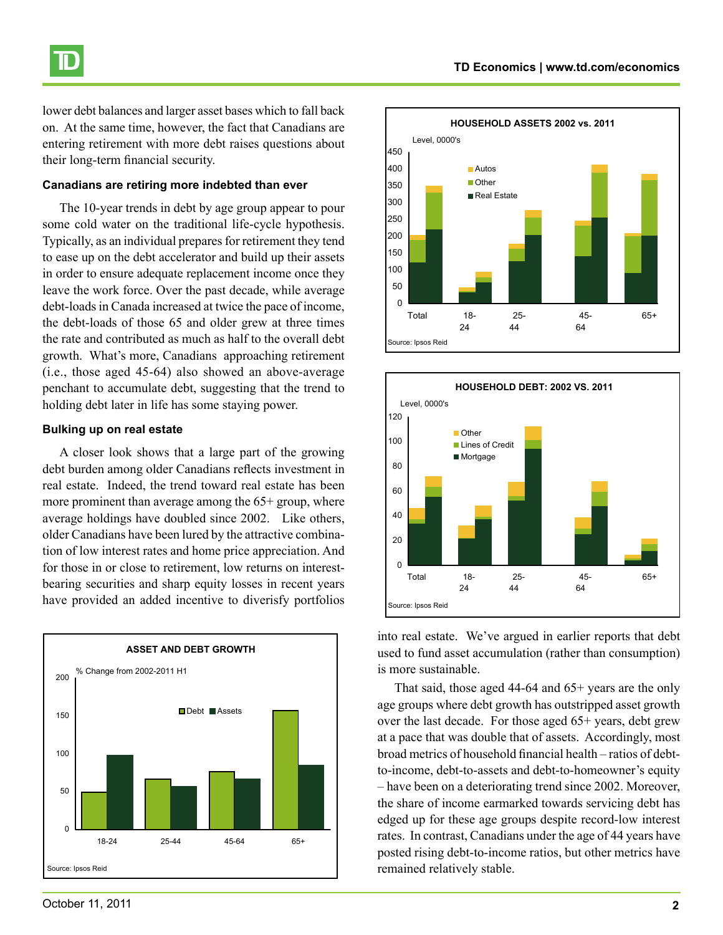

lower debt balances and larger asset bases which to fall back on. At the same time, however, the fact that Canadians are entering retirement with more debt raises questions about their long-term financial security.

#### **Canadians are retiring more indebted than ever**

The 10-year trends in debt by age group appear to pour some cold water on the traditional life-cycle hypothesis. Typically, as an individual prepares for retirement they tend to ease up on the debt accelerator and build up their assets in order to ensure adequate replacement income once they leave the work force. Over the past decade, while average debt-loads in Canada increased at twice the pace of income, the debt-loads of those 65 and older grew at three times the rate and contributed as much as half to the overall debt growth. What's more, Canadians approaching retirement (i.e., those aged 45-64) also showed an above-average penchant to accumulate debt, suggesting that the trend to holding debt later in life has some staying power.

#### **Bulking up on real estate**

A closer look shows that a large part of the growing debt burden among older Canadians reflects investment in real estate. Indeed, the trend toward real estate has been more prominent than average among the  $65+$  group, where average holdings have doubled since 2002. Like others, older Canadians have been lured by the attractive combination of low interest rates and home price appreciation. And for those in or close to retirement, low returns on interestbearing securities and sharp equity losses in recent years have provided an added incentive to diverisfy portfolios







into real estate. We've argued in earlier reports that debt used to fund asset accumulation (rather than consumption) is more sustainable.

That said, those aged 44-64 and 65+ years are the only age groups where debt growth has outstripped asset growth over the last decade. For those aged 65+ years, debt grew at a pace that was double that of assets. Accordingly, most broad metrics of household financial health – ratios of debtto-income, debt-to-assets and debt-to-homeowner's equity – have been on a deteriorating trend since 2002. Moreover, the share of income earmarked towards servicing debt has edged up for these age groups despite record-low interest rates. In contrast, Canadians under the age of 44 years have posted rising debt-to-income ratios, but other metrics have remained relatively stable.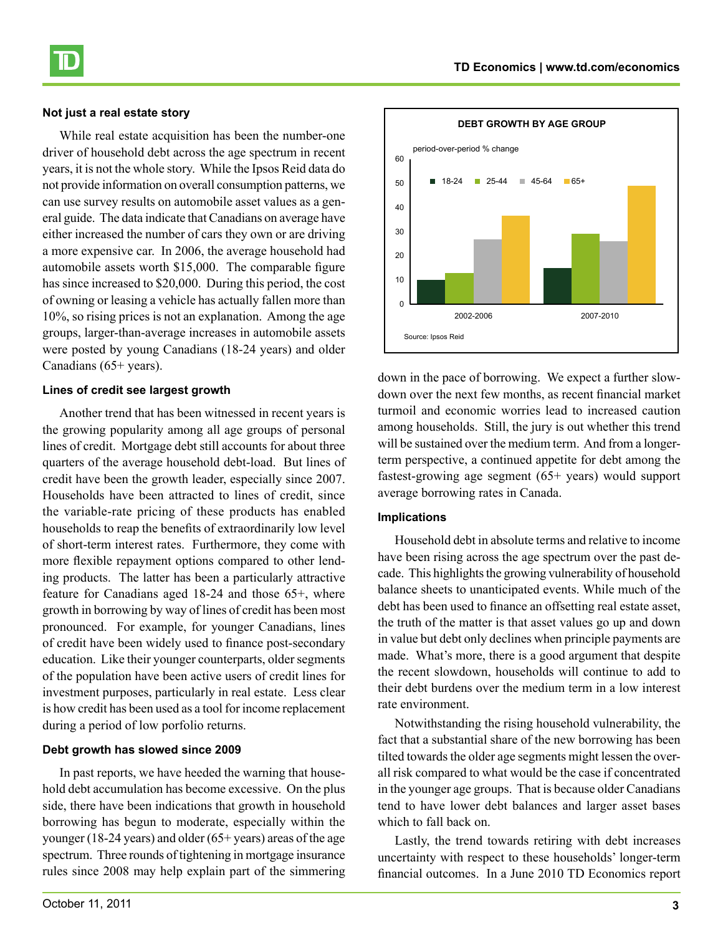### **Not just a real estate story**

While real estate acquisition has been the number-one driver of household debt across the age spectrum in recent years, it is not the whole story. While the Ipsos Reid data do not provide information on overall consumption patterns, we can use survey results on automobile asset values as a general guide. The data indicate that Canadians on average have either increased the number of cars they own or are driving a more expensive car. In 2006, the average household had automobile assets worth \$15,000. The comparable figure has since increased to \$20,000. During this period, the cost of owning or leasing a vehicle has actually fallen more than 10%, so rising prices is not an explanation. Among the age groups, larger-than-average increases in automobile assets were posted by young Canadians (18-24 years) and older Canadians (65+ years).

#### **Lines of credit see largest growth**

Another trend that has been witnessed in recent years is the growing popularity among all age groups of personal lines of credit. Mortgage debt still accounts for about three quarters of the average household debt-load. But lines of credit have been the growth leader, especially since 2007. Households have been attracted to lines of credit, since the variable-rate pricing of these products has enabled households to reap the benefits of extraordinarily low level of short-term interest rates. Furthermore, they come with more flexible repayment options compared to other lending products. The latter has been a particularly attractive feature for Canadians aged 18-24 and those 65+, where growth in borrowing by way of lines of credit has been most pronounced. For example, for younger Canadians, lines of credit have been widely used to finance post-secondary education. Like their younger counterparts, older segments of the population have been active users of credit lines for investment purposes, particularly in real estate. Less clear is how credit has been used as a tool for income replacement during a period of low porfolio returns.

### **Debt growth has slowed since 2009**

In past reports, we have heeded the warning that household debt accumulation has become excessive. On the plus side, there have been indications that growth in household borrowing has begun to moderate, especially within the younger (18-24 years) and older (65+ years) areas of the age spectrum. Three rounds of tightening in mortgage insurance rules since 2008 may help explain part of the simmering



down in the pace of borrowing. We expect a further slowdown over the next few months, as recent financial market turmoil and economic worries lead to increased caution among households. Still, the jury is out whether this trend will be sustained over the medium term. And from a longerterm perspective, a continued appetite for debt among the fastest-growing age segment (65+ years) would support average borrowing rates in Canada.

#### **Implications**

Household debt in absolute terms and relative to income have been rising across the age spectrum over the past decade. This highlights the growing vulnerability of household balance sheets to unanticipated events. While much of the debt has been used to finance an offsetting real estate asset, the truth of the matter is that asset values go up and down in value but debt only declines when principle payments are made. What's more, there is a good argument that despite the recent slowdown, households will continue to add to their debt burdens over the medium term in a low interest rate environment.

Notwithstanding the rising household vulnerability, the fact that a substantial share of the new borrowing has been tilted towards the older age segments might lessen the overall risk compared to what would be the case if concentrated in the younger age groups. That is because older Canadians tend to have lower debt balances and larger asset bases which to fall back on.

Lastly, the trend towards retiring with debt increases uncertainty with respect to these households' longer-term financial outcomes. In a June 2010 TD Economics report